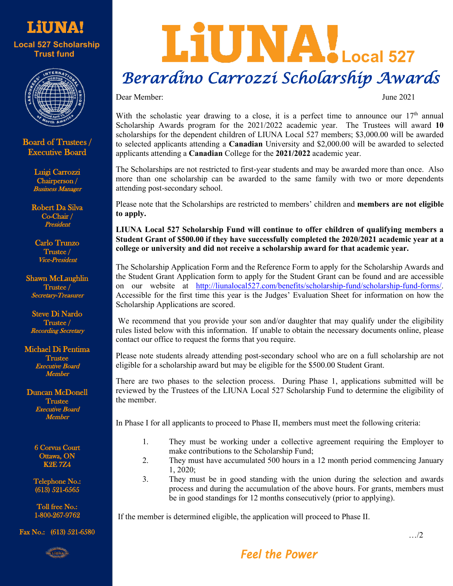



Board of Trustees / Executive Board

> Luigi Carrozzi Chairperson / Business Manager

Robert Da Silva Co-Chair / President

Carlo Trunzo Trustee / Vice-President

Shawn McLaughlin Trustee / etary-Treasurer

Steve Di Nardo Trustee / ecording Secretary

Michael Di Pentima Trustee urd Member

Duncan McDonell Trustee Executive Board Member

> 6 Corvus Court ttawa,  $\mathbf{ON}$ K2E 7Z4

Telephone No.: (613) 521-6565

Toll free No.: 1-800-267-9762

Fax No.: (613) 521-6580

in<br>al .<br>V

## LIUNA!Local 527  *Berardino Carrozzi Scholarship Awards*

Dear Member: June 2021

With the scholastic year drawing to a close, it is a perfect time to announce our 17<sup>th</sup> annual Scholarship Awards program for the 2021/2022 academic year. The Trustees will award **10** scholarships for the dependent children of LIUNA Local 527 members; \$3,000.00 will be awarded to selected applicants attending a **Canadian** University and \$2,000.00 will be awarded to selected applicants attending a **Canadian** College for the **2021/2022** academic year.

The Scholarships are not restricted to first-year students and may be awarded more than once. Also more than one scholarship can be awarded to the same family with two or more dependents attending post-secondary school.

Please note that the Scholarships are restricted to members' children and **members are not eligible to apply.**

**LIUNA Local 527 Scholarship Fund will continue to offer children of qualifying members a Student Grant of \$500.00 if they have successfully completed the 2020/2021 academic year at a college or university and did not receive a scholarship award for that academic year.** 

The Scholarship Application Form and the Reference Form to apply for the Scholarship Awards and the Student Grant Application form to apply for the Student Grant can be found and are accessible on our website at [http://liunalocal527.com/benefits/scholarship-fund/scholarship-fund-forms/.](http://liunalocal527.com/benefits/scholarship-fund/scholarship-fund-forms/) Accessible for the first time this year is the Judges' Evaluation Sheet for information on how the Scholarship Applications are scored.

We recommend that you provide your son and/or daughter that may qualify under the eligibility rules listed below with this information. If unable to obtain the necessary documents online, please contact our office to request the forms that you require.

Please note students already attending post-secondary school who are on a full scholarship are not eligible for a scholarship award but may be eligible for the \$500.00 Student Grant.

There are two phases to the selection process. During Phase 1, applications submitted will be reviewed by the Trustees of the LIUNA Local 527 Scholarship Fund to determine the eligibility of the member.

In Phase I for all applicants to proceed to Phase II, members must meet the following criteria:

- 1. They must be working under a collective agreement requiring the Employer to make contributions to the Scholarship Fund;
- 2. They must have accumulated 500 hours in a 12 month period commencing January 1, 2020;
- 3. They must be in good standing with the union during the selection and awards process and during the accumulation of the above hours. For grants, members must be in good standings for 12 months consecutively (prior to applying).

If the member is determined eligible, the application will proceed to Phase II.

**Feel the Power**